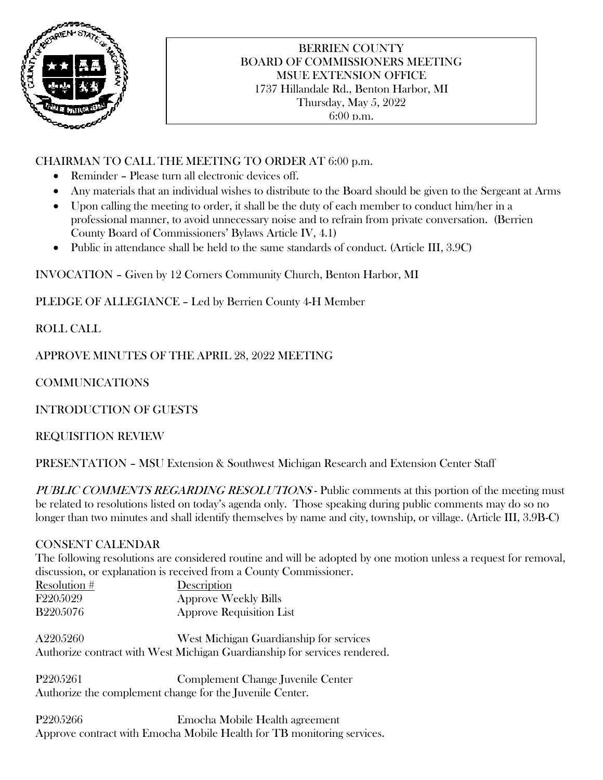

### BERRIEN COUNTY BOARD OF COMMISSIONERS MEETING MSUE EXTENSION OFFICE 1737 Hillandale Rd., Benton Harbor, MI Thursday, May 5, 2022 6:00 p.m.

# CHAIRMAN TO CALL THE MEETING TO ORDER AT 6:00 p.m.

- Reminder Please turn all electronic devices off.
- Any materials that an individual wishes to distribute to the Board should be given to the Sergeant at Arms
- Upon calling the meeting to order, it shall be the duty of each member to conduct him/her in a professional manner, to avoid unnecessary noise and to refrain from private conversation. (Berrien County Board of Commissioners' Bylaws Article IV, 4.1)
- Public in attendance shall be held to the same standards of conduct. (Article III, 3.9C)

INVOCATION – Given by 12 Corners Community Church, Benton Harbor, MI

PLEDGE OF ALLEGIANCE – Led by Berrien County 4-H Member

ROLL CALL

APPROVE MINUTES OF THE APRIL 28, 2022 MEETING

COMMUNICATIONS

INTRODUCTION OF GUESTS

REQUISITION REVIEW

PRESENTATION – MSU Extension & Southwest Michigan Research and Extension Center Staff

PUBLIC COMMENTS REGARDING RESOLUTIONS - Public comments at this portion of the meeting must be related to resolutions listed on today's agenda only. Those speaking during public comments may do so no longer than two minutes and shall identify themselves by name and city, township, or village. (Article III, 3.9B-C)

## CONSENT CALENDAR

The following resolutions are considered routine and will be adopted by one motion unless a request for removal, discussion, or explanation is received from a County Commissioner.

| Resolution $#$  | Description                     |
|-----------------|---------------------------------|
| F220.5029       | <b>Approve Weekly Bills</b>     |
| <b>B2205076</b> | <b>Approve Requisition List</b> |

A2205260 West Michigan Guardianship for services Authorize contract with West Michigan Guardianship for services rendered.

P2205261 Complement Change Juvenile Center Authorize the complement change for the Juvenile Center.

P2205266 Emocha Mobile Health agreement Approve contract with Emocha Mobile Health for TB monitoring services.